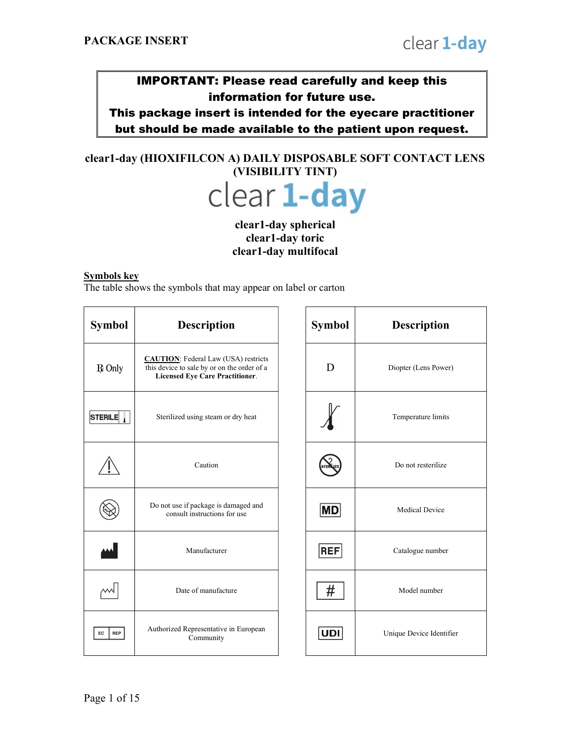# IMPORTANT: Please read carefully and keep this information for future use.

This package insert is intended for the eyecare practitioner but should be made available to the patient upon request.

# clear1-day (HIOXIFILCON A) DAILY DISPOSABLE SOFT CONTACT LENS (VISIBILITY TINT)



### clear1-day spherical clear1-day toric clear1-day multifocal

#### Symbols key

The table shows the symbols that may appear on label or carton

| Symbol           | <b>Description</b>                                                                                                                   |  | <b>Symbol</b> | <b>Description</b>      |
|------------------|--------------------------------------------------------------------------------------------------------------------------------------|--|---------------|-------------------------|
| $R$ Only         | <b>CAUTION:</b> Federal Law (USA) restricts<br>this device to sale by or on the order of a<br><b>Licensed Eye Care Practitioner.</b> |  | D             | Diopter (Lens Power)    |
| <b>STERILE</b>   | Sterilized using steam or dry heat                                                                                                   |  |               | Temperature limits      |
|                  | Caution                                                                                                                              |  |               | Do not resterilize      |
|                  | Do not use if package is damaged and<br>consult instructions for use                                                                 |  | ∣MD           | <b>Medical Device</b>   |
|                  | Manufacturer                                                                                                                         |  | <b>REF</b>    | Catalogue number        |
|                  | Date of manufacture                                                                                                                  |  | #             | Model number            |
| EC<br><b>REP</b> | Authorized Representative in European<br>Community                                                                                   |  | <b>UDI</b>    | Unique Device Identific |

| <b>Description</b>                                                                                                     | <b>Symbol</b> | <b>Description</b>       |
|------------------------------------------------------------------------------------------------------------------------|---------------|--------------------------|
| UTION: Federal Law (USA) restricts<br>device to sale by or on the order of a<br><b>Licensed Eye Care Practitioner.</b> | D             | Diopter (Lens Power)     |
| Sterilized using steam or dry heat                                                                                     |               | Temperature limits       |
| Caution                                                                                                                |               | Do not resterilize       |
| o not use if package is damaged and<br>consult instructions for use                                                    | MD            | <b>Medical Device</b>    |
| Manufacturer                                                                                                           | <b>REF</b>    | Catalogue number         |
| Date of manufacture                                                                                                    | #             | Model number             |
| thorized Representative in European<br>Community                                                                       | <b>UDI</b>    | Unique Device Identifier |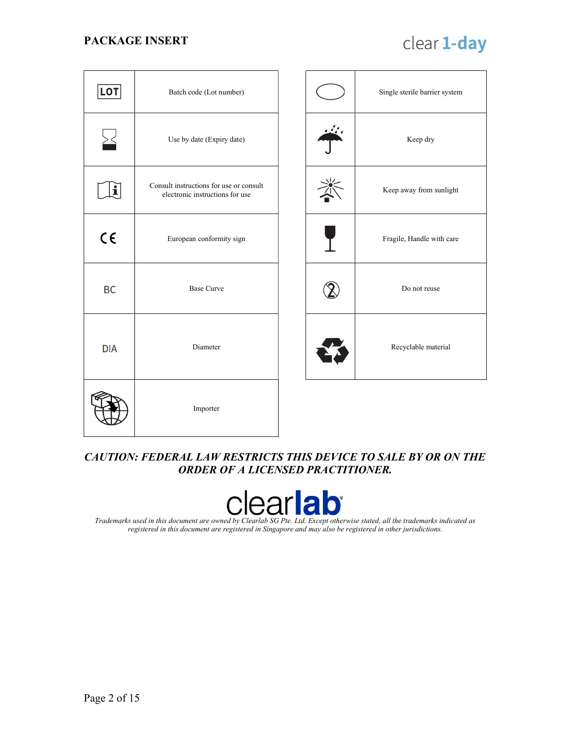# clear 1-day

| <b>LOT</b> | Batch code (Lot number)                                                    |  |  | Single sterile barrier system |
|------------|----------------------------------------------------------------------------|--|--|-------------------------------|
|            | Use by date (Expiry date)                                                  |  |  | Keep dry                      |
| i          | Consult instructions for use or consult<br>electronic instructions for use |  |  | Keep away from sunlight       |
| $C \in$    | European conformity sign                                                   |  |  | Fragile, Handle with care     |
| <b>BC</b>  | <b>Base Curve</b>                                                          |  |  | Do not reuse                  |
| <b>DIA</b> | Diameter                                                                   |  |  | Recyclable material           |
|            | Importer                                                                   |  |  |                               |

### CAUTION: FEDERAL LAW RESTRICTS THIS DEVICE TO SALE BY OR ON THE ORDER OF A LICENSED PRACTITIONER.



Trademarks used in this document are owned by Clearlab SG Pte. Ltd. Except otherwise stated, all the trademarks indicated as registered in this document are registered in Singapore and may also be registered in other jurisdictions.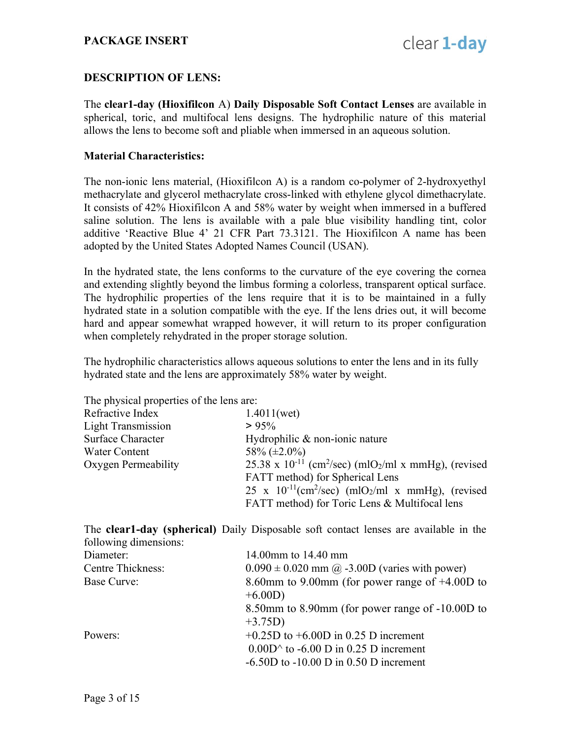### DESCRIPTION OF LENS:

The clear1-day (Hioxifilcon A) Daily Disposable Soft Contact Lenses are available in spherical, toric, and multifocal lens designs. The hydrophilic nature of this material allows the lens to become soft and pliable when immersed in an aqueous solution.

#### Material Characteristics:

The non-ionic lens material, (Hioxifilcon A) is a random co-polymer of 2-hydroxyethyl methacrylate and glycerol methacrylate cross-linked with ethylene glycol dimethacrylate. It consists of 42% Hioxifilcon A and 58% water by weight when immersed in a buffered saline solution. The lens is available with a pale blue visibility handling tint, color additive 'Reactive Blue 4' 21 CFR Part 73.3121. The Hioxifilcon A name has been adopted by the United States Adopted Names Council (USAN).

In the hydrated state, the lens conforms to the curvature of the eye covering the cornea and extending slightly beyond the limbus forming a colorless, transparent optical surface. The hydrophilic properties of the lens require that it is to be maintained in a fully hydrated state in a solution compatible with the eye. If the lens dries out, it will become hard and appear somewhat wrapped however, it will return to its proper configuration when completely rehydrated in the proper storage solution.

The hydrophilic characteristics allows aqueous solutions to enter the lens and in its fully hydrated state and the lens are approximately 58% water by weight.

The physical properties of the lens are:

| $\mathbf{r}$ and $\mathbf{r}$ are $\mathbf{r}$ and $\mathbf{r}$ are $\mathbf{r}$ and $\mathbf{r}$ and $\mathbf{r}$ |                                                                                          |
|--------------------------------------------------------------------------------------------------------------------|------------------------------------------------------------------------------------------|
| Refractive Index                                                                                                   | 1.4011(wet)                                                                              |
| <b>Light Transmission</b>                                                                                          | > 95%                                                                                    |
| Surface Character                                                                                                  | Hydrophilic & non-ionic nature                                                           |
| Water Content                                                                                                      | 58\% $(\pm 2.0\%)$                                                                       |
| Oxygen Permeability                                                                                                | 25.38 x 10 <sup>-11</sup> (cm <sup>2</sup> /sec) (mlO <sub>2</sub> /ml x mmHg), (revised |
|                                                                                                                    | FATT method) for Spherical Lens                                                          |
|                                                                                                                    | $25 \times 10^{-11}$ (cm <sup>2</sup> /sec) (mlO <sub>2</sub> /ml x mmHg), (revised      |
|                                                                                                                    | FATT method) for Toric Lens & Multifocal lens                                            |

The clear1-day (spherical) Daily Disposable soft contact lenses are available in the following dimensions:

| Diameter:                | 14.00mm to 14.40 mm                                |
|--------------------------|----------------------------------------------------|
| <b>Centre Thickness:</b> | $0.090 \pm 0.020$ mm @ -3.00D (varies with power)  |
| Base Curve:              | 8.60mm to 9.00mm (for power range of $+4.00D$ to   |
|                          | $+6.00D)$                                          |
|                          | 8.50 mm to 8.90 mm (for power range of -10.00 D to |
|                          | $+3.75D)$                                          |
| Powers:                  | $+0.25D$ to $+6.00D$ in 0.25 D increment           |
|                          | $0.00D^$ to -6.00 D in 0.25 D increment            |
|                          | $-6.50D$ to $-10.00D$ in 0.50 D increment          |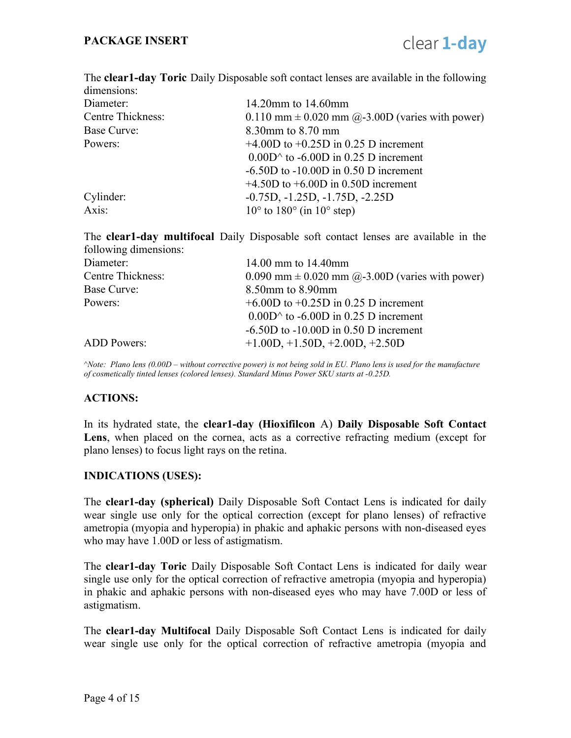The **clear1-day Toric** Daily Disposable soft contact lenses are available in the following dimensions:

| Diameter:                | 14.20mm to $14.60$ mm                                         |
|--------------------------|---------------------------------------------------------------|
| <b>Centre Thickness:</b> | $0.110$ mm $\pm$ 0.020 mm $\omega$ -3.00D (varies with power) |
| Base Curve:              | 8.30mm to 8.70 mm                                             |
| Powers:                  | $+4.00D$ to $+0.25D$ in 0.25 D increment                      |
|                          | $0.00D^$ to -6.00D in 0.25 D increment                        |
|                          | $-6.50D$ to $-10.00D$ in 0.50 D increment                     |
|                          | $+4.50D$ to $+6.00D$ in 0.50D increment                       |
| Cylinder:                | $-0.75D, -1.25D, -1.75D, -2.25D$                              |
| Axis:                    | $10^{\circ}$ to $180^{\circ}$ (in $10^{\circ}$ step)          |

The clear1-day multifocal Daily Disposable soft contact lenses are available in the following dimensions:

| Diameter:                | 14.00 mm to $14.40$ mm                                |
|--------------------------|-------------------------------------------------------|
| <b>Centre Thickness:</b> | $0.090$ mm $\pm$ 0.020 mm @-3.00D (varies with power) |
| Base Curve:              | $8.50$ mm to $8.90$ mm                                |
| Powers:                  | $+6.00D$ to $+0.25D$ in 0.25 D increment              |
|                          | $0.00D^$ to -6.00D in 0.25 D increment                |
|                          | $-6.50D$ to $-10.00D$ in 0.50 D increment             |
| <b>ADD</b> Powers:       | $+1.00D, +1.50D, +2.00D, +2.50D$                      |
|                          |                                                       |

 $\triangle$ Note: Plano lens (0.00D – without corrective power) is not being sold in EU. Plano lens is used for the manufacture of cosmetically tinted lenses (colored lenses). Standard Minus Power SKU starts at -0.25D.

#### ACTIONS:

In its hydrated state, the clear1-day (Hioxifilcon A) Daily Disposable Soft Contact Lens, when placed on the cornea, acts as a corrective refracting medium (except for plano lenses) to focus light rays on the retina.

#### INDICATIONS (USES):

The clear1-day (spherical) Daily Disposable Soft Contact Lens is indicated for daily wear single use only for the optical correction (except for plano lenses) of refractive ametropia (myopia and hyperopia) in phakic and aphakic persons with non-diseased eyes who may have 1.00D or less of astigmatism.

The clear1-day Toric Daily Disposable Soft Contact Lens is indicated for daily wear single use only for the optical correction of refractive ametropia (myopia and hyperopia) in phakic and aphakic persons with non-diseased eyes who may have 7.00D or less of astigmatism.

The clear1-day Multifocal Daily Disposable Soft Contact Lens is indicated for daily wear single use only for the optical correction of refractive ametropia (myopia and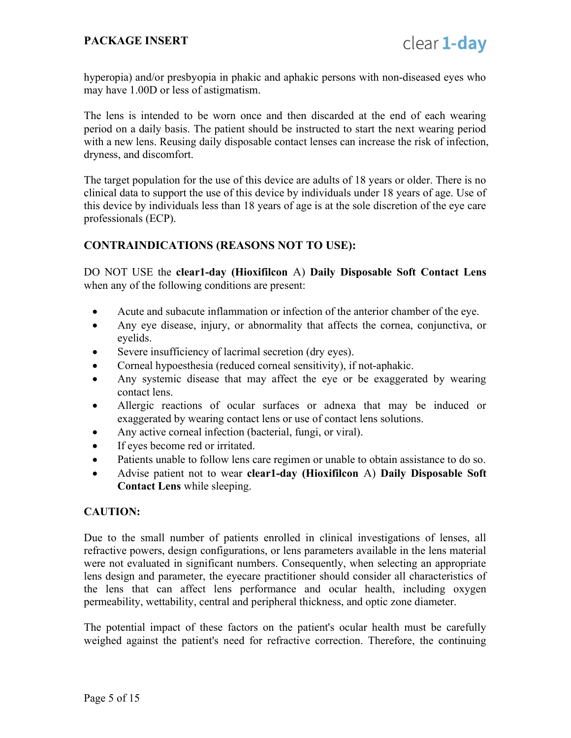hyperopia) and/or presbyopia in phakic and aphakic persons with non-diseased eyes who may have 1.00D or less of astigmatism.

The lens is intended to be worn once and then discarded at the end of each wearing period on a daily basis. The patient should be instructed to start the next wearing period with a new lens. Reusing daily disposable contact lenses can increase the risk of infection, dryness, and discomfort.

The target population for the use of this device are adults of 18 years or older. There is no clinical data to support the use of this device by individuals under 18 years of age. Use of this device by individuals less than 18 years of age is at the sole discretion of the eye care professionals (ECP).

### CONTRAINDICATIONS (REASONS NOT TO USE):

DO NOT USE the clear1-day (Hioxifilcon A) Daily Disposable Soft Contact Lens when any of the following conditions are present:

- Acute and subacute inflammation or infection of the anterior chamber of the eye.
- Any eye disease, injury, or abnormality that affects the cornea, conjunctiva, or eyelids.
- Severe insufficiency of lacrimal secretion (dry eyes).
- Corneal hypoesthesia (reduced corneal sensitivity), if not-aphakic.
- Any systemic disease that may affect the eye or be exaggerated by wearing contact lens.
- Allergic reactions of ocular surfaces or adnexa that may be induced or exaggerated by wearing contact lens or use of contact lens solutions.
- Any active corneal infection (bacterial, fungi, or viral).
- If eyes become red or irritated.
- Patients unable to follow lens care regimen or unable to obtain assistance to do so.
- Advise patient not to wear clear1-day (Hioxifilcon A) Daily Disposable Soft Contact Lens while sleeping.

#### CAUTION:

Due to the small number of patients enrolled in clinical investigations of lenses, all refractive powers, design configurations, or lens parameters available in the lens material were not evaluated in significant numbers. Consequently, when selecting an appropriate lens design and parameter, the eyecare practitioner should consider all characteristics of the lens that can affect lens performance and ocular health, including oxygen permeability, wettability, central and peripheral thickness, and optic zone diameter.

The potential impact of these factors on the patient's ocular health must be carefully weighed against the patient's need for refractive correction. Therefore, the continuing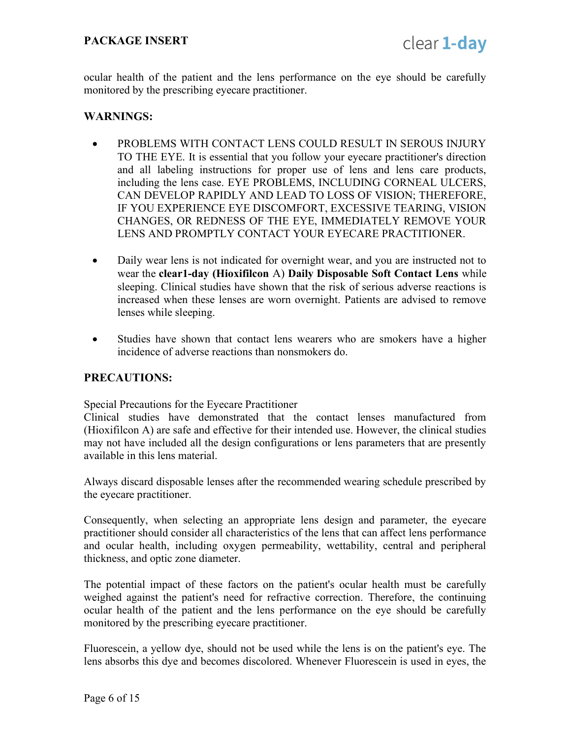ocular health of the patient and the lens performance on the eye should be carefully monitored by the prescribing eyecare practitioner.

#### WARNINGS:

- PROBLEMS WITH CONTACT LENS COULD RESULT IN SEROUS INJURY TO THE EYE. It is essential that you follow your eyecare practitioner's direction and all labeling instructions for proper use of lens and lens care products, including the lens case. EYE PROBLEMS, INCLUDING CORNEAL ULCERS, CAN DEVELOP RAPIDLY AND LEAD TO LOSS OF VISION; THEREFORE, IF YOU EXPERIENCE EYE DISCOMFORT, EXCESSIVE TEARING, VISION CHANGES, OR REDNESS OF THE EYE, IMMEDIATELY REMOVE YOUR LENS AND PROMPTLY CONTACT YOUR EYECARE PRACTITIONER.
- Daily wear lens is not indicated for overnight wear, and you are instructed not to wear the clear1-day (Hioxifilcon A) Daily Disposable Soft Contact Lens while sleeping. Clinical studies have shown that the risk of serious adverse reactions is increased when these lenses are worn overnight. Patients are advised to remove lenses while sleeping.
- Studies have shown that contact lens wearers who are smokers have a higher incidence of adverse reactions than nonsmokers do.

#### PRECAUTIONS:

Special Precautions for the Eyecare Practitioner

Clinical studies have demonstrated that the contact lenses manufactured from (Hioxifilcon A) are safe and effective for their intended use. However, the clinical studies may not have included all the design configurations or lens parameters that are presently available in this lens material.

Always discard disposable lenses after the recommended wearing schedule prescribed by the eyecare practitioner.

Consequently, when selecting an appropriate lens design and parameter, the eyecare practitioner should consider all characteristics of the lens that can affect lens performance and ocular health, including oxygen permeability, wettability, central and peripheral thickness, and optic zone diameter.

The potential impact of these factors on the patient's ocular health must be carefully weighed against the patient's need for refractive correction. Therefore, the continuing ocular health of the patient and the lens performance on the eye should be carefully monitored by the prescribing eyecare practitioner.

Fluorescein, a yellow dye, should not be used while the lens is on the patient's eye. The lens absorbs this dye and becomes discolored. Whenever Fluorescein is used in eyes, the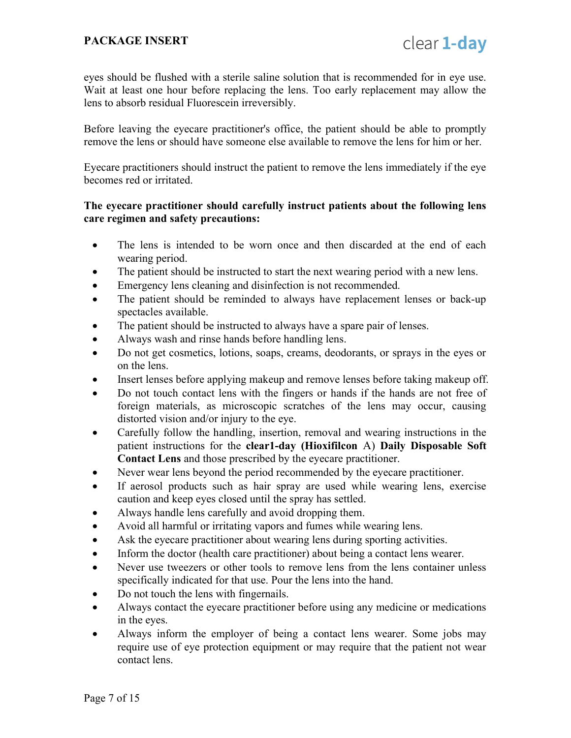eyes should be flushed with a sterile saline solution that is recommended for in eye use. Wait at least one hour before replacing the lens. Too early replacement may allow the lens to absorb residual Fluorescein irreversibly.

Before leaving the eyecare practitioner's office, the patient should be able to promptly remove the lens or should have someone else available to remove the lens for him or her.

Eyecare practitioners should instruct the patient to remove the lens immediately if the eye becomes red or irritated.

#### The eyecare practitioner should carefully instruct patients about the following lens care regimen and safety precautions:

- The lens is intended to be worn once and then discarded at the end of each wearing period.
- The patient should be instructed to start the next wearing period with a new lens.
- Emergency lens cleaning and disinfection is not recommended.
- The patient should be reminded to always have replacement lenses or back-up spectacles available.
- The patient should be instructed to always have a spare pair of lenses.
- Always wash and rinse hands before handling lens.
- Do not get cosmetics, lotions, soaps, creams, deodorants, or sprays in the eyes or on the lens.
- Insert lenses before applying makeup and remove lenses before taking makeup off.
- Do not touch contact lens with the fingers or hands if the hands are not free of foreign materials, as microscopic scratches of the lens may occur, causing distorted vision and/or injury to the eye.
- Carefully follow the handling, insertion, removal and wearing instructions in the patient instructions for the clear1-day (Hioxifilcon A) Daily Disposable Soft Contact Lens and those prescribed by the eyecare practitioner.
- Never wear lens beyond the period recommended by the eyecare practitioner.
- If aerosol products such as hair spray are used while wearing lens, exercise caution and keep eyes closed until the spray has settled.
- Always handle lens carefully and avoid dropping them.
- Avoid all harmful or irritating vapors and fumes while wearing lens.
- Ask the eyecare practitioner about wearing lens during sporting activities.
- Inform the doctor (health care practitioner) about being a contact lens wearer.
- Never use tweezers or other tools to remove lens from the lens container unless specifically indicated for that use. Pour the lens into the hand.
- Do not touch the lens with fingernails.
- Always contact the eyecare practitioner before using any medicine or medications in the eyes.
- Always inform the employer of being a contact lens wearer. Some jobs may require use of eye protection equipment or may require that the patient not wear contact lens.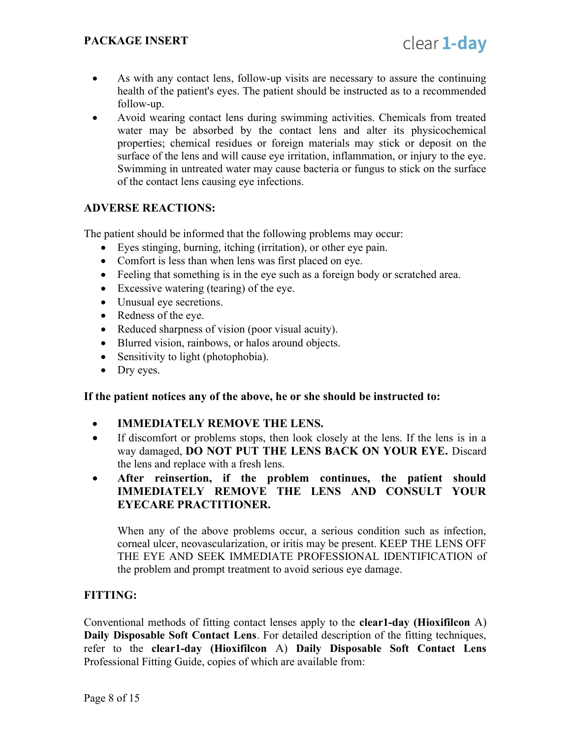- As with any contact lens, follow-up visits are necessary to assure the continuing health of the patient's eyes. The patient should be instructed as to a recommended follow-up.
- Avoid wearing contact lens during swimming activities. Chemicals from treated water may be absorbed by the contact lens and alter its physicochemical properties; chemical residues or foreign materials may stick or deposit on the surface of the lens and will cause eye irritation, inflammation, or injury to the eye. Swimming in untreated water may cause bacteria or fungus to stick on the surface of the contact lens causing eye infections.

### ADVERSE REACTIONS:

The patient should be informed that the following problems may occur:

- Eyes stinging, burning, itching (irritation), or other eye pain.
- Comfort is less than when lens was first placed on eye.
- Feeling that something is in the eye such as a foreign body or scratched area.
- Excessive watering (tearing) of the eye.
- Unusual eye secretions.
- Redness of the eye.
- Reduced sharpness of vision (poor visual acuity).
- Blurred vision, rainbows, or halos around objects.
- Sensitivity to light (photophobia).
- Dry eyes.

#### If the patient notices any of the above, he or she should be instructed to:

- IMMEDIATELY REMOVE THE LENS.
- If discomfort or problems stops, then look closely at the lens. If the lens is in a way damaged, DO NOT PUT THE LENS BACK ON YOUR EYE. Discard the lens and replace with a fresh lens.
- After reinsertion, if the problem continues, the patient should IMMEDIATELY REMOVE THE LENS AND CONSULT YOUR EYECARE PRACTITIONER.

When any of the above problems occur, a serious condition such as infection, corneal ulcer, neovascularization, or iritis may be present. KEEP THE LENS OFF THE EYE AND SEEK IMMEDIATE PROFESSIONAL IDENTIFICATION of the problem and prompt treatment to avoid serious eye damage.

### FITTING:

Conventional methods of fitting contact lenses apply to the clear1-day (Hioxifilcon A) Daily Disposable Soft Contact Lens. For detailed description of the fitting techniques, refer to the clear1-day (Hioxifilcon A) Daily Disposable Soft Contact Lens Professional Fitting Guide, copies of which are available from: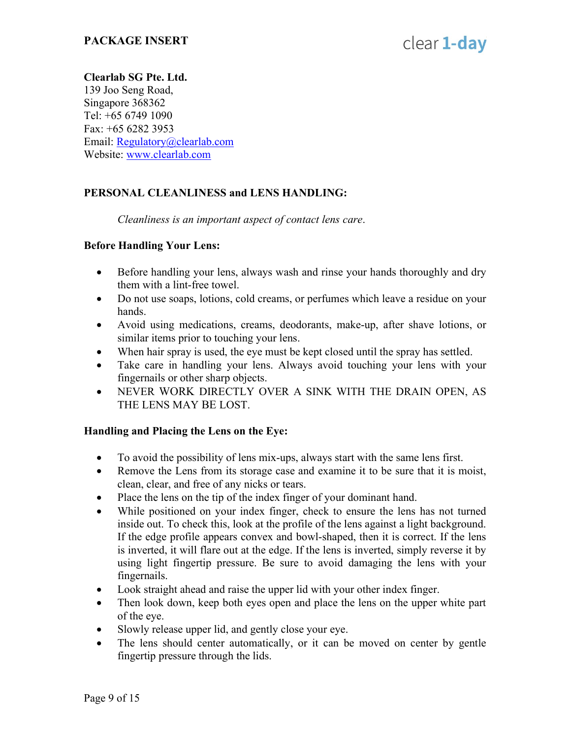### Clearlab SG Pte. Ltd.

139 Joo Seng Road, Singapore 368362 Tel: +65 6749 1090 Fax: +65 6282 3953 Email: Regulatory@clearlab.com Website: www.clearlab.com

### PERSONAL CLEANLINESS and LENS HANDLING:

Cleanliness is an important aspect of contact lens care.

#### Before Handling Your Lens:

- Before handling your lens, always wash and rinse your hands thoroughly and dry them with a lint-free towel.
- Do not use soaps, lotions, cold creams, or perfumes which leave a residue on your hands.
- Avoid using medications, creams, deodorants, make-up, after shave lotions, or similar items prior to touching your lens.
- When hair spray is used, the eye must be kept closed until the spray has settled.
- Take care in handling your lens. Always avoid touching your lens with your fingernails or other sharp objects.
- NEVER WORK DIRECTLY OVER A SINK WITH THE DRAIN OPEN, AS THE LENS MAY BE LOST.

### Handling and Placing the Lens on the Eye:

- To avoid the possibility of lens mix-ups, always start with the same lens first.
- Remove the Lens from its storage case and examine it to be sure that it is moist, clean, clear, and free of any nicks or tears.
- Place the lens on the tip of the index finger of your dominant hand.
- While positioned on your index finger, check to ensure the lens has not turned inside out. To check this, look at the profile of the lens against a light background. If the edge profile appears convex and bowl-shaped, then it is correct. If the lens is inverted, it will flare out at the edge. If the lens is inverted, simply reverse it by using light fingertip pressure. Be sure to avoid damaging the lens with your fingernails.
- Look straight ahead and raise the upper lid with your other index finger.
- Then look down, keep both eyes open and place the lens on the upper white part of the eye.
- Slowly release upper lid, and gently close your eye.
- The lens should center automatically, or it can be moved on center by gentle fingertip pressure through the lids.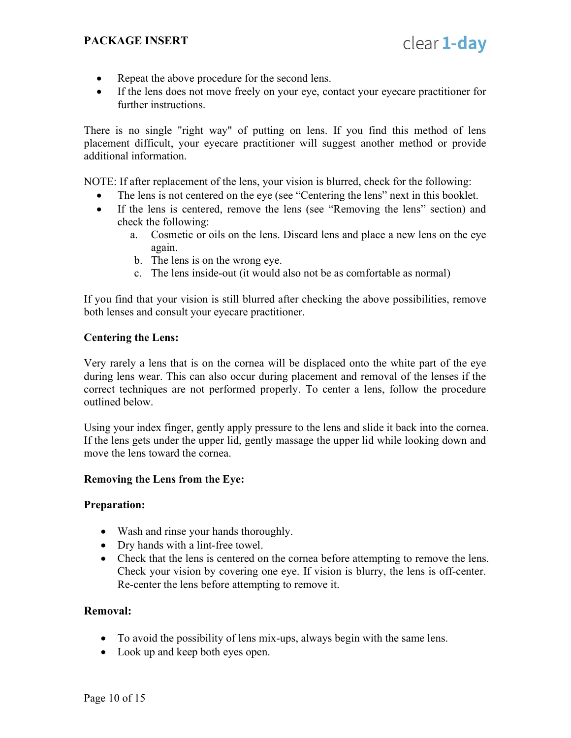clear 1-day

- Repeat the above procedure for the second lens.
- If the lens does not move freely on your eye, contact your eyecare practitioner for further instructions.

There is no single "right way" of putting on lens. If you find this method of lens placement difficult, your eyecare practitioner will suggest another method or provide additional information.

NOTE: If after replacement of the lens, your vision is blurred, check for the following:

- The lens is not centered on the eye (see "Centering the lens" next in this booklet.
- If the lens is centered, remove the lens (see "Removing the lens" section) and check the following:
	- a. Cosmetic or oils on the lens. Discard lens and place a new lens on the eye again.
	- b. The lens is on the wrong eye.
	- c. The lens inside-out (it would also not be as comfortable as normal)

If you find that your vision is still blurred after checking the above possibilities, remove both lenses and consult your eyecare practitioner.

#### Centering the Lens:

Very rarely a lens that is on the cornea will be displaced onto the white part of the eye during lens wear. This can also occur during placement and removal of the lenses if the correct techniques are not performed properly. To center a lens, follow the procedure outlined below.

Using your index finger, gently apply pressure to the lens and slide it back into the cornea. If the lens gets under the upper lid, gently massage the upper lid while looking down and move the lens toward the cornea.

#### Removing the Lens from the Eye:

#### Preparation:

- Wash and rinse your hands thoroughly.
- Dry hands with a lint-free towel.
- Check that the lens is centered on the cornea before attempting to remove the lens. Check your vision by covering one eye. If vision is blurry, the lens is off-center. Re-center the lens before attempting to remove it.

#### Removal:

- To avoid the possibility of lens mix-ups, always begin with the same lens.
- Look up and keep both eyes open.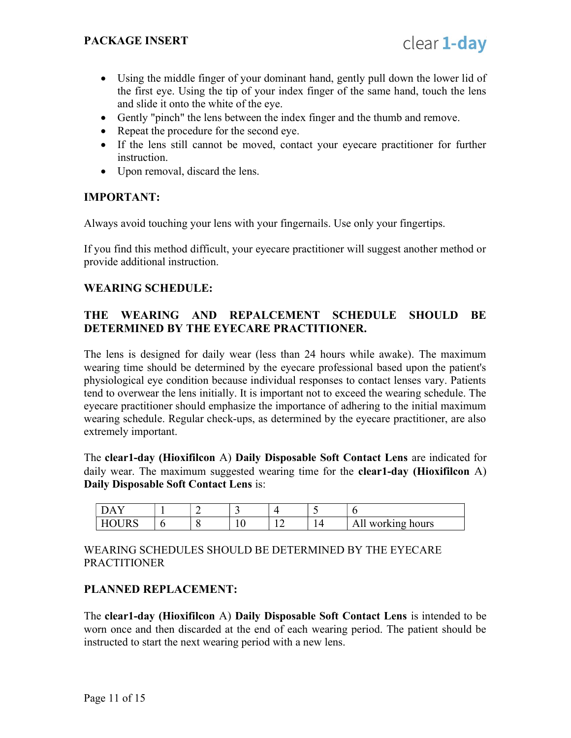- Using the middle finger of your dominant hand, gently pull down the lower lid of the first eye. Using the tip of your index finger of the same hand, touch the lens and slide it onto the white of the eye.
- Gently "pinch" the lens between the index finger and the thumb and remove.
- Repeat the procedure for the second eye.
- If the lens still cannot be moved, contact your eyecare practitioner for further instruction.
- Upon removal, discard the lens.

### IMPORTANT:

Always avoid touching your lens with your fingernails. Use only your fingertips.

If you find this method difficult, your eyecare practitioner will suggest another method or provide additional instruction.

### WEARING SCHEDULE:

### THE WEARING AND REPALCEMENT SCHEDULE SHOULD BE DETERMINED BY THE EYECARE PRACTITIONER.

The lens is designed for daily wear (less than 24 hours while awake). The maximum wearing time should be determined by the eyecare professional based upon the patient's physiological eye condition because individual responses to contact lenses vary. Patients tend to overwear the lens initially. It is important not to exceed the wearing schedule. The eyecare practitioner should emphasize the importance of adhering to the initial maximum wearing schedule. Regular check-ups, as determined by the eyecare practitioner, are also extremely important.

The clear1-day (Hioxifilcon A) Daily Disposable Soft Contact Lens are indicated for daily wear. The maximum suggested wearing time for the **clear1-day (Hioxifilcon** A) Daily Disposable Soft Contact Lens is:

| $\overline{ }$ |  | - |  |                         |
|----------------|--|---|--|-------------------------|
|                |  |   |  | working hours<br>А<br>. |

WEARING SCHEDULES SHOULD BE DETERMINED BY THE EYECARE PRACTITIONER

### PLANNED REPLACEMENT:

The clear1-day (Hioxifilcon A) Daily Disposable Soft Contact Lens is intended to be worn once and then discarded at the end of each wearing period. The patient should be instructed to start the next wearing period with a new lens.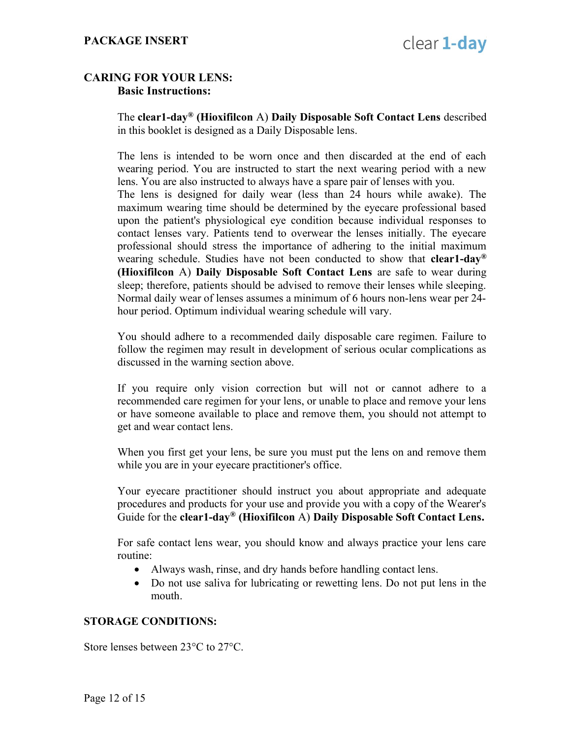### CARING FOR YOUR LENS: Basic Instructions:

The clear1-day<sup>®</sup> (Hioxifilcon A) Daily Disposable Soft Contact Lens described in this booklet is designed as a Daily Disposable lens.

The lens is intended to be worn once and then discarded at the end of each wearing period. You are instructed to start the next wearing period with a new lens. You are also instructed to always have a spare pair of lenses with you. The lens is designed for daily wear (less than 24 hours while awake). The maximum wearing time should be determined by the eyecare professional based upon the patient's physiological eye condition because individual responses to contact lenses vary. Patients tend to overwear the lenses initially. The eyecare professional should stress the importance of adhering to the initial maximum wearing schedule. Studies have not been conducted to show that **clear1-day**<sup>®</sup> (Hioxifilcon A) Daily Disposable Soft Contact Lens are safe to wear during sleep; therefore, patients should be advised to remove their lenses while sleeping. Normal daily wear of lenses assumes a minimum of 6 hours non-lens wear per 24 hour period. Optimum individual wearing schedule will vary.

You should adhere to a recommended daily disposable care regimen. Failure to follow the regimen may result in development of serious ocular complications as discussed in the warning section above.

If you require only vision correction but will not or cannot adhere to a recommended care regimen for your lens, or unable to place and remove your lens or have someone available to place and remove them, you should not attempt to get and wear contact lens.

When you first get your lens, be sure you must put the lens on and remove them while you are in your eyecare practitioner's office.

Your eyecare practitioner should instruct you about appropriate and adequate procedures and products for your use and provide you with a copy of the Wearer's Guide for the clear1-day<sup>®</sup> (Hioxifilcon A) Daily Disposable Soft Contact Lens.

For safe contact lens wear, you should know and always practice your lens care routine:

- Always wash, rinse, and dry hands before handling contact lens.
- Do not use saliva for lubricating or rewetting lens. Do not put lens in the mouth.

### STORAGE CONDITIONS:

Store lenses between 23°C to 27°C.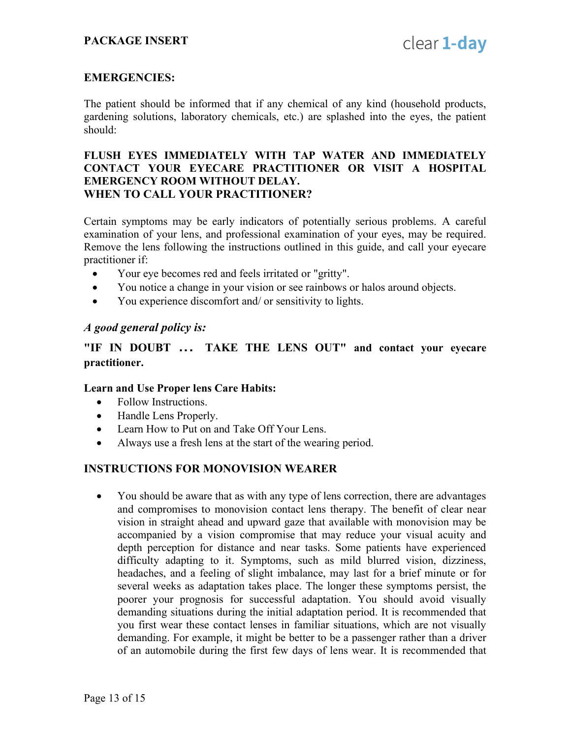#### EMERGENCIES:

The patient should be informed that if any chemical of any kind (household products, gardening solutions, laboratory chemicals, etc.) are splashed into the eyes, the patient should:

#### FLUSH EYES IMMEDIATELY WITH TAP WATER AND IMMEDIATELY CONTACT YOUR EYECARE PRACTITIONER OR VISIT A HOSPITAL EMERGENCY ROOM WITHOUT DELAY. WHEN TO CALL YOUR PRACTITIONER?

Certain symptoms may be early indicators of potentially serious problems. A careful examination of your lens, and professional examination of your eyes, may be required. Remove the lens following the instructions outlined in this guide, and call your eyecare practitioner if:

- Your eye becomes red and feels irritated or "gritty".
- You notice a change in your vision or see rainbows or halos around objects.
- You experience discomfort and/ or sensitivity to lights.

#### A good general policy is:

"IF IN DOUBT ... TAKE THE LENS OUT" and contact your eyecare practitioner.

#### Learn and Use Proper lens Care Habits:

- Follow Instructions.
- Handle Lens Properly.
- Learn How to Put on and Take Off Your Lens.
- Always use a fresh lens at the start of the wearing period.

#### INSTRUCTIONS FOR MONOVISION WEARER

• You should be aware that as with any type of lens correction, there are advantages and compromises to monovision contact lens therapy. The benefit of clear near vision in straight ahead and upward gaze that available with monovision may be accompanied by a vision compromise that may reduce your visual acuity and depth perception for distance and near tasks. Some patients have experienced difficulty adapting to it. Symptoms, such as mild blurred vision, dizziness, headaches, and a feeling of slight imbalance, may last for a brief minute or for several weeks as adaptation takes place. The longer these symptoms persist, the poorer your prognosis for successful adaptation. You should avoid visually demanding situations during the initial adaptation period. It is recommended that you first wear these contact lenses in familiar situations, which are not visually demanding. For example, it might be better to be a passenger rather than a driver of an automobile during the first few days of lens wear. It is recommended that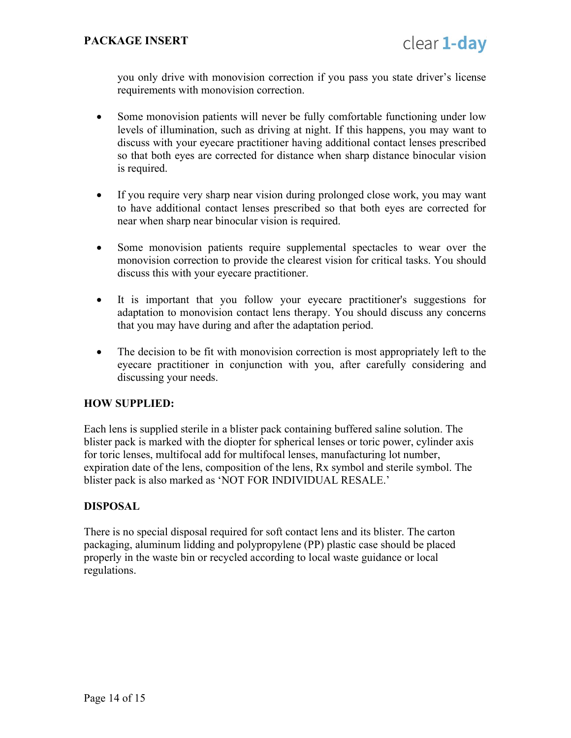you only drive with monovision correction if you pass you state driver's license requirements with monovision correction.

- Some monovision patients will never be fully comfortable functioning under low levels of illumination, such as driving at night. If this happens, you may want to discuss with your eyecare practitioner having additional contact lenses prescribed so that both eyes are corrected for distance when sharp distance binocular vision is required.
- If you require very sharp near vision during prolonged close work, you may want to have additional contact lenses prescribed so that both eyes are corrected for near when sharp near binocular vision is required.
- Some monovision patients require supplemental spectacles to wear over the monovision correction to provide the clearest vision for critical tasks. You should discuss this with your eyecare practitioner.
- It is important that you follow your eyecare practitioner's suggestions for adaptation to monovision contact lens therapy. You should discuss any concerns that you may have during and after the adaptation period.
- The decision to be fit with monovision correction is most appropriately left to the eyecare practitioner in conjunction with you, after carefully considering and discussing your needs.

### HOW SUPPLIED:

Each lens is supplied sterile in a blister pack containing buffered saline solution. The blister pack is marked with the diopter for spherical lenses or toric power, cylinder axis for toric lenses, multifocal add for multifocal lenses, manufacturing lot number, expiration date of the lens, composition of the lens, Rx symbol and sterile symbol. The blister pack is also marked as 'NOT FOR INDIVIDUAL RESALE.'

### DISPOSAL

There is no special disposal required for soft contact lens and its blister. The carton packaging, aluminum lidding and polypropylene (PP) plastic case should be placed properly in the waste bin or recycled according to local waste guidance or local regulations.